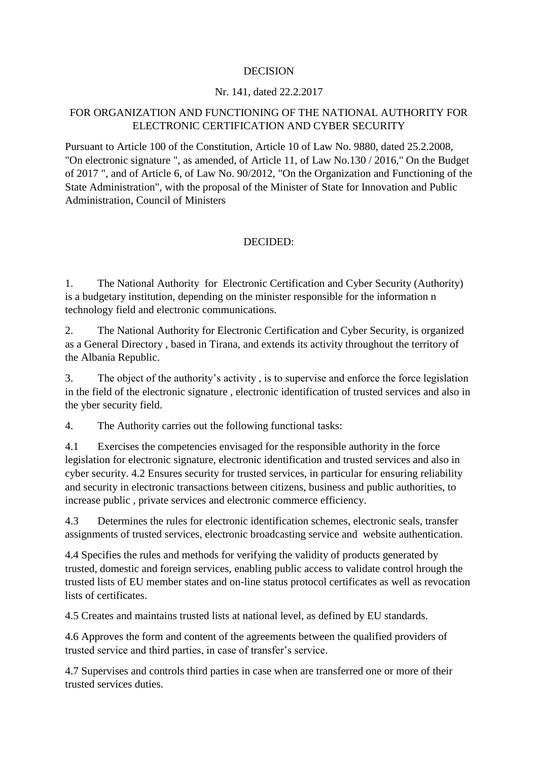## DECISION

## Nr. 141, dated 22.2.2017

## FOR ORGANIZATION AND FUNCTIONING OF THE NATIONAL AUTHORITY FOR ELECTRONIC CERTIFICATION AND CYBER SECURITY

Pursuant to Article 100 of the Constitution, Article 10 of Law No. 9880, dated 25.2.2008, "On electronic signature ", as amended, of Article 11, of Law No.130 / 2016," On the Budget of 2017 ", and of Article 6, of Law No. 90/2012, "On the Organization and Functioning of the State Administration", with the proposal of the Minister of State for Innovation and Public Administration, Council of Ministers

## DECIDED:

1. The National Authority for Electronic Certification and Cyber Security (Authority) is a budgetary institution, depending on the minister responsible for the information n technology field and electronic communications.

2. The National Authority for Electronic Certification and Cyber Security, is organized as a General Directory , based in Tirana, and extends its activity throughout the territory of the Albania Republic.

3. The object of the authority's activity , is to supervise and enforce the force legislation in the field of the electronic signature , electronic identification of trusted services and also in the yber security field.

4. The Authority carries out the following functional tasks:

4.1 Exercises the competencies envisaged for the responsible authority in the force legislation for electronic signature, electronic identification and trusted services and also in cyber security. 4.2 Ensures security for trusted services, in particular for ensuring reliability and security in electronic transactions between citizens, business and public authorities, to increase public , private services and electronic commerce efficiency.

4.3 Determines the rules for electronic identification schemes, electronic seals, transfer assignments of trusted services, electronic broadcasting service and website authentication.

4.4 Specifies the rules and methods for verifying the validity of products generated by trusted, domestic and foreign services, enabling public access to validate control hrough the trusted lists of EU member states and on-line status protocol certificates as well as revocation lists of certificates.

4.5 Creates and maintains trusted lists at national level, as defined by EU standards.

4.6 Approves the form and content of the agreements between the qualified providers of trusted service and third parties, in case of transfer's service.

4.7 Supervises and controls third parties in case when are transferred one or more of their trusted services duties.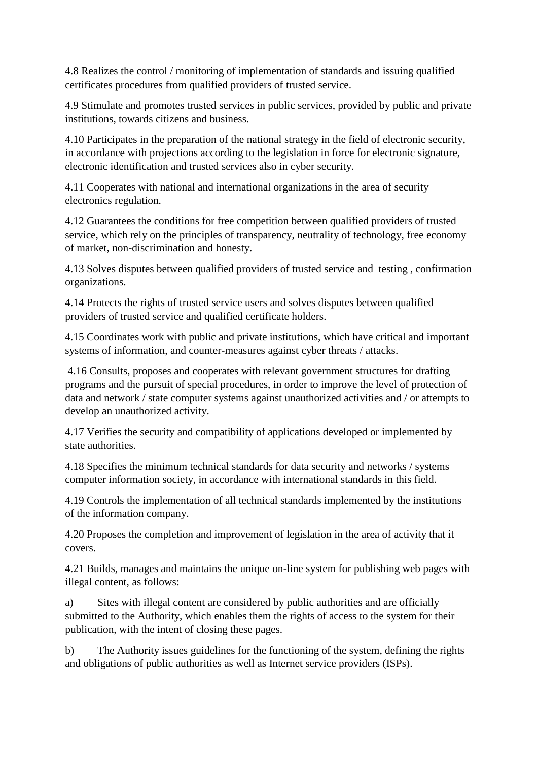4.8 Realizes the control / monitoring of implementation of standards and issuing qualified certificates procedures from qualified providers of trusted service.

4.9 Stimulate and promotes trusted services in public services, provided by public and private institutions, towards citizens and business.

4.10 Participates in the preparation of the national strategy in the field of electronic security, in accordance with projections according to the legislation in force for electronic signature, electronic identification and trusted services also in cyber security.

4.11 Cooperates with national and international organizations in the area of security electronics regulation.

4.12 Guarantees the conditions for free competition between qualified providers of trusted service, which rely on the principles of transparency, neutrality of technology, free economy of market, non-discrimination and honesty.

4.13 Solves disputes between qualified providers of trusted service and testing , confirmation organizations.

4.14 Protects the rights of trusted service users and solves disputes between qualified providers of trusted service and qualified certificate holders.

4.15 Coordinates work with public and private institutions, which have critical and important systems of information, and counter-measures against cyber threats / attacks.

4.16 Consults, proposes and cooperates with relevant government structures for drafting programs and the pursuit of special procedures, in order to improve the level of protection of data and network / state computer systems against unauthorized activities and / or attempts to develop an unauthorized activity.

4.17 Verifies the security and compatibility of applications developed or implemented by state authorities.

4.18 Specifies the minimum technical standards for data security and networks / systems computer information society, in accordance with international standards in this field.

4.19 Controls the implementation of all technical standards implemented by the institutions of the information company.

4.20 Proposes the completion and improvement of legislation in the area of activity that it covers.

4.21 Builds, manages and maintains the unique on-line system for publishing web pages with illegal content, as follows:

a) Sites with illegal content are considered by public authorities and are officially submitted to the Authority, which enables them the rights of access to the system for their publication, with the intent of closing these pages.

b) The Authority issues guidelines for the functioning of the system, defining the rights and obligations of public authorities as well as Internet service providers (ISPs).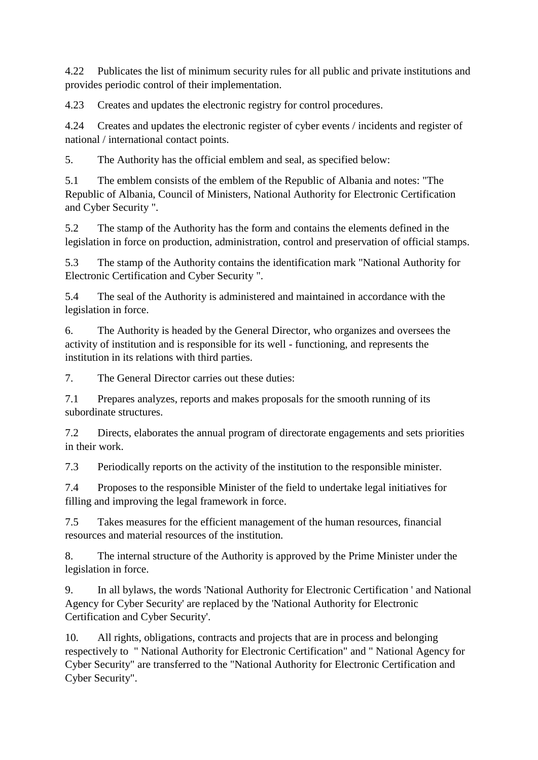4.22 Publicates the list of minimum security rules for all public and private institutions and provides periodic control of their implementation.

4.23 Creates and updates the electronic registry for control procedures.

4.24 Creates and updates the electronic register of cyber events / incidents and register of national / international contact points.

5. The Authority has the official emblem and seal, as specified below:

5.1 The emblem consists of the emblem of the Republic of Albania and notes: "The Republic of Albania, Council of Ministers, National Authority for Electronic Certification and Cyber Security ".

5.2 The stamp of the Authority has the form and contains the elements defined in the legislation in force on production, administration, control and preservation of official stamps.

5.3 The stamp of the Authority contains the identification mark "National Authority for Electronic Certification and Cyber Security ".

5.4 The seal of the Authority is administered and maintained in accordance with the legislation in force.

6. The Authority is headed by the General Director, who organizes and oversees the activity of institution and is responsible for its well - functioning, and represents the institution in its relations with third parties.

7. The General Director carries out these duties:

7.1 Prepares analyzes, reports and makes proposals for the smooth running of its subordinate structures.

7.2 Directs, elaborates the annual program of directorate engagements and sets priorities in their work.

7.3 Periodically reports on the activity of the institution to the responsible minister.

7.4 Proposes to the responsible Minister of the field to undertake legal initiatives for filling and improving the legal framework in force.

7.5 Takes measures for the efficient management of the human resources, financial resources and material resources of the institution.

8. The internal structure of the Authority is approved by the Prime Minister under the legislation in force.

9. In all bylaws, the words 'National Authority for Electronic Certification ' and National Agency for Cyber Security' are replaced by the 'National Authority for Electronic Certification and Cyber Security'.

10. All rights, obligations, contracts and projects that are in process and belonging respectively to " National Authority for Electronic Certification" and " National Agency for Cyber Security" are transferred to the "National Authority for Electronic Certification and Cyber Security".